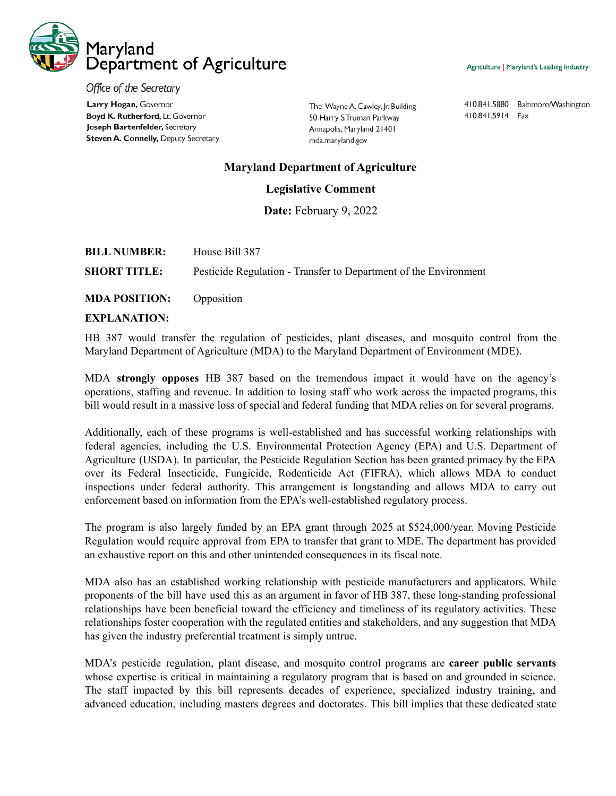

Agriculture | Maryland's Leading Industry

Office of the Secretary Larry Hogan, Governor Boyd K. Rutherford, Lt. Governor Joseph Bartenfelder, Secretary Steven A. Connelly, Deputy Secretary

The Wayne A. Cawley, Jr. Building 50 Harry S Truman Parkway Annapolis, Maryland 21401 mda.maryland.gov

410.841.5880 Baltimore/Washington 410.841.5914 Fax

## **Maryland Department of Agriculture**

## **Legislative Comment**

**Date:** February 9, 2022

| <b>BILL NUMBER:</b> | House Bill 387                                                   |
|---------------------|------------------------------------------------------------------|
| <b>SHORT TITLE:</b> | Pesticide Regulation - Transfer to Department of the Environment |
|                     |                                                                  |

**MDA POSITION:** Opposition

## **EXPLANATION:**

HB 387 would transfer the regulation of pesticides, plant diseases, and mosquito control from the Maryland Department of Agriculture (MDA) to the Maryland Department of Environment (MDE).

MDA **strongly opposes** HB 387 based on the tremendous impact it would have on the agency's operations, staffing and revenue. In addition to losing staff who work across the impacted programs, this bill would result in a massive loss of special and federal funding that MDA relies on for several programs.

Additionally, each of these programs is well-established and has successful working relationships with federal agencies, including the U.S. Environmental Protection Agency (EPA) and U.S. Department of Agriculture (USDA). In particular, the Pesticide Regulation Section has been granted primacy by the EPA over its Federal Insecticide, Fungicide, Rodenticide Act (FIFRA), which allows MDA to conduct inspections under federal authority. This arrangement is longstanding and allows MDA to carry out enforcement based on information from the EPA's well-established regulatory process.

The program is also largely funded by an EPA grant through 2025 at \$524,000/year. Moving Pesticide Regulation would require approval from EPA to transfer that grant to MDE. The department has provided an exhaustive report on this and other unintended consequences in its fiscal note.

MDA also has an established working relationship with pesticide manufacturers and applicators. While proponents of the bill have used this as an argument in favor of HB 387, these long-standing professional relationships have been beneficial toward the efficiency and timeliness of its regulatory activities. These relationships foster cooperation with the regulated entities and stakeholders, and any suggestion that MDA has given the industry preferential treatment is simply untrue.

MDA's pesticide regulation, plant disease, and mosquito control programs are **career public servants** whose expertise is critical in maintaining a regulatory program that is based on and grounded in science. The staff impacted by this bill represents decades of experience, specialized industry training, and advanced education, including masters degrees and doctorates. This bill implies that these dedicated state